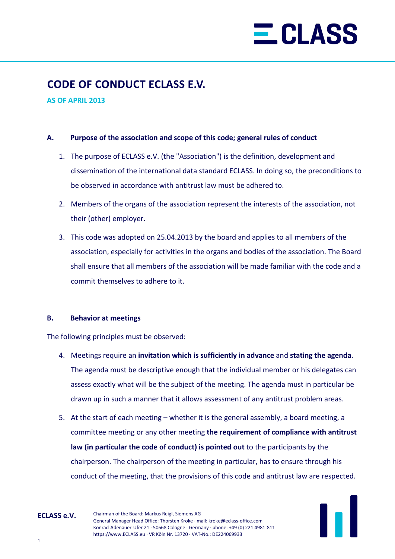## $\equiv$  CLASS

### **CODE OF CONDUCT ECLASS E.V.**

**AS OF APRIL 2013**

#### **A. Purpose of the association and scope of this code; general rules of conduct**

- 1. The purpose of ECLASS e.V. (the "Association") is the definition, development and dissemination of the international data standard ECLASS. In doing so, the preconditions to be observed in accordance with antitrust law must be adhered to.
- 2. Members of the organs of the association represent the interests of the association, not their (other) employer.
- 3. This code was adopted on 25.04.2013 by the board and applies to all members of the association, especially for activities in the organs and bodies of the association. The Board shall ensure that all members of the association will be made familiar with the code and a commit themselves to adhere to it.

#### **B. Behavior at meetings**

The following principles must be observed:

- 4. Meetings require an **invitation which is sufficiently in advance** and **stating the agenda**. The agenda must be descriptive enough that the individual member or his delegates can assess exactly what will be the subject of the meeting. The agenda must in particular be drawn up in such a manner that it allows assessment of any antitrust problem areas.
- 5. At the start of each meeting whether it is the general assembly, a board meeting, a committee meeting or any other meeting **the requirement of compliance with antitrust law (in particular the code of conduct) is pointed out** to the participants by the chairperson. The chairperson of the meeting in particular, has to ensure through his conduct of the meeting, that the provisions of this code and antitrust law are respected.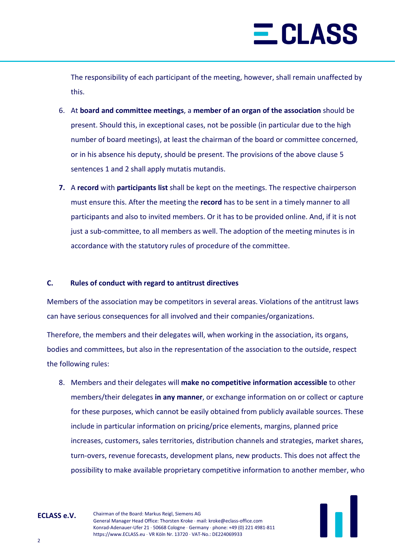# $\equiv$  CLASS

The responsibility of each participant of the meeting, however, shall remain unaffected by this.

- 6. At **board and committee meetings**, a **member of an organ of the association** should be present. Should this, in exceptional cases, not be possible (in particular due to the high number of board meetings), at least the chairman of the board or committee concerned, or in his absence his deputy, should be present. The provisions of the above clause 5 sentences 1 and 2 shall apply mutatis mutandis.
- **7.** A **record** with **participants list** shall be kept on the meetings. The respective chairperson must ensure this. After the meeting the **record** has to be sent in a timely manner to all participants and also to invited members. Or it has to be provided online. And, if it is not just a sub-committee, to all members as well. The adoption of the meeting minutes is in accordance with the statutory rules of procedure of the committee.

### **C. Rules of conduct with regard to antitrust directives**

Members of the association may be competitors in several areas. Violations of the antitrust laws can have serious consequences for all involved and their companies/organizations.

Therefore, the members and their delegates will, when working in the association, its organs, bodies and committees, but also in the representation of the association to the outside, respect the following rules:

8. Members and their delegates will **make no competitive information accessible** to other members/their delegates **in any manner**, or exchange information on or collect or capture for these purposes, which cannot be easily obtained from publicly available sources. These include in particular information on pricing/price elements, margins, planned price increases, customers, sales territories, distribution channels and strategies, market shares, turn-overs, revenue forecasts, development plans, new products. This does not affect the possibility to make available proprietary competitive information to another member, who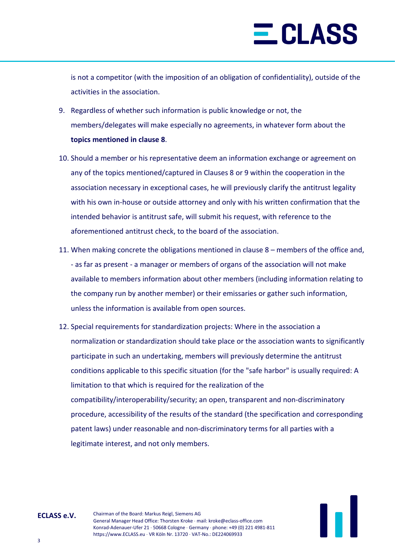# $\equiv$  CLASS

is not a competitor (with the imposition of an obligation of confidentiality), outside of the activities in the association.

- 9. Regardless of whether such information is public knowledge or not, the members/delegates will make especially no agreements, in whatever form about the **topics mentioned in clause 8**.
- 10. Should a member or his representative deem an information exchange or agreement on any of the topics mentioned/captured in Clauses 8 or 9 within the cooperation in the association necessary in exceptional cases, he will previously clarify the antitrust legality with his own in-house or outside attorney and only with his written confirmation that the intended behavior is antitrust safe, will submit his request, with reference to the aforementioned antitrust check, to the board of the association.
- 11. When making concrete the obligations mentioned in clause 8 members of the office and, - as far as present - a manager or members of organs of the association will not make available to members information about other members (including information relating to the company run by another member) or their emissaries or gather such information, unless the information is available from open sources.
- 12. Special requirements for standardization projects: Where in the association a normalization or standardization should take place or the association wants to significantly participate in such an undertaking, members will previously determine the antitrust conditions applicable to this specific situation (for the "safe harbor" is usually required: A limitation to that which is required for the realization of the compatibility/interoperability/security; an open, transparent and non-discriminatory procedure, accessibility of the results of the standard (the specification and corresponding patent laws) under reasonable and non-discriminatory terms for all parties with a legitimate interest, and not only members.